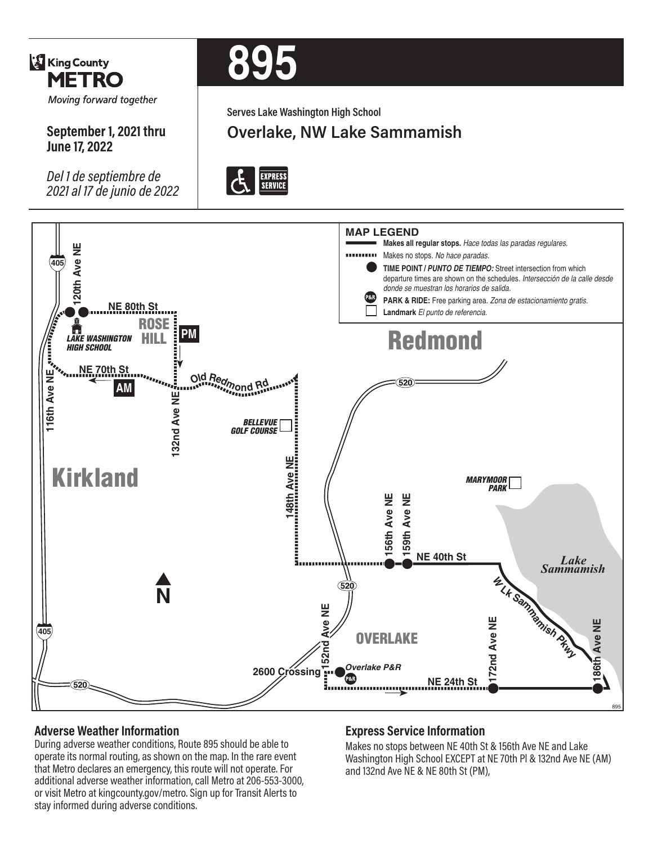

**September 1, 2021 thru** 

*Del 1 de septiembre de 2021 al 17 de junio de 2022*

**June 17, 2022**

# **895**

**Serves Lake Washington High School**

**Overlake, NW Lake Sammamish**





## **Adverse Weather Information**

During adverse weather conditions, Route 895 should be able to operate its normal routing, as shown on the map. In the rare event that Metro declares an emergency, this route will not operate. For additional adverse weather information, call Metro at 206-553-3000, or visit Metro at kingcounty.gov/metro. Sign up for Transit Alerts to stay informed during adverse conditions.

### **Express Service Information**

Makes no stops between NE 40th St & 156th Ave NE and Lake Washington High School EXCEPT at NE 70th Pl & 132nd Ave NE (AM) and 132nd Ave NE & NE 80th St (PM),